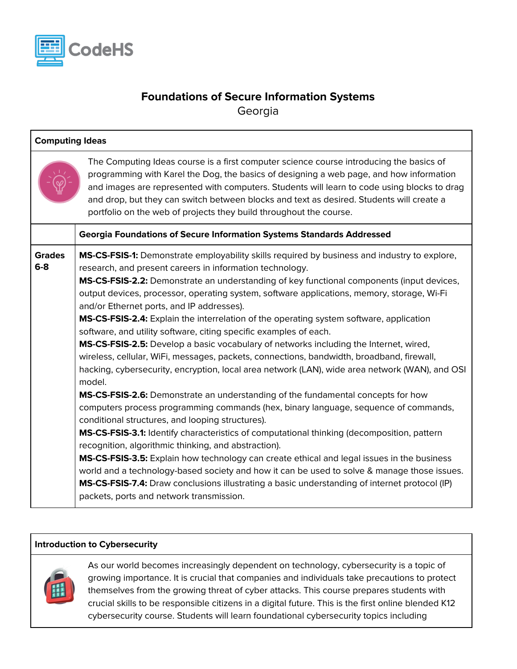

## **Foundations of Secure Information Systems** Georgia

| <b>Computing Ideas</b> |                                                                                                                                                                                                                                                                                                                                                                                                                                                                                                                                                                                                                                                                                                                                                                                                                                                                                                                                                                                                                                                                                                                                                                                                                                                         |  |
|------------------------|---------------------------------------------------------------------------------------------------------------------------------------------------------------------------------------------------------------------------------------------------------------------------------------------------------------------------------------------------------------------------------------------------------------------------------------------------------------------------------------------------------------------------------------------------------------------------------------------------------------------------------------------------------------------------------------------------------------------------------------------------------------------------------------------------------------------------------------------------------------------------------------------------------------------------------------------------------------------------------------------------------------------------------------------------------------------------------------------------------------------------------------------------------------------------------------------------------------------------------------------------------|--|
|                        | The Computing Ideas course is a first computer science course introducing the basics of<br>programming with Karel the Dog, the basics of designing a web page, and how information<br>and images are represented with computers. Students will learn to code using blocks to drag<br>and drop, but they can switch between blocks and text as desired. Students will create a<br>portfolio on the web of projects they build throughout the course.                                                                                                                                                                                                                                                                                                                                                                                                                                                                                                                                                                                                                                                                                                                                                                                                     |  |
|                        | <b>Georgia Foundations of Secure Information Systems Standards Addressed</b>                                                                                                                                                                                                                                                                                                                                                                                                                                                                                                                                                                                                                                                                                                                                                                                                                                                                                                                                                                                                                                                                                                                                                                            |  |
| <b>Grades</b><br>$6-8$ | MS-CS-FSIS-1: Demonstrate employability skills required by business and industry to explore,<br>research, and present careers in information technology.<br>MS-CS-FSIS-2.2: Demonstrate an understanding of key functional components (input devices,<br>output devices, processor, operating system, software applications, memory, storage, Wi-Fi<br>and/or Ethernet ports, and IP addresses).<br>MS-CS-FSIS-2.4: Explain the interrelation of the operating system software, application<br>software, and utility software, citing specific examples of each.<br>MS-CS-FSIS-2.5: Develop a basic vocabulary of networks including the Internet, wired,<br>wireless, cellular, WiFi, messages, packets, connections, bandwidth, broadband, firewall,<br>hacking, cybersecurity, encryption, local area network (LAN), wide area network (WAN), and OSI<br>model.<br>MS-CS-FSIS-2.6: Demonstrate an understanding of the fundamental concepts for how<br>computers process programming commands (hex, binary language, sequence of commands,<br>conditional structures, and looping structures).<br>MS-CS-FSIS-3.1: Identify characteristics of computational thinking (decomposition, pattern<br>recognition, algorithmic thinking, and abstraction). |  |
|                        | MS-CS-FSIS-3.5: Explain how technology can create ethical and legal issues in the business<br>world and a technology-based society and how it can be used to solve & manage those issues.<br>MS-CS-FSIS-7.4: Draw conclusions illustrating a basic understanding of internet protocol (IP)<br>packets, ports and network transmission.                                                                                                                                                                                                                                                                                                                                                                                                                                                                                                                                                                                                                                                                                                                                                                                                                                                                                                                  |  |

## **Introduction to Cybersecurity**



As our world becomes increasingly dependent on technology, cybersecurity is a topic of growing importance. It is crucial that companies and individuals take precautions to protect themselves from the growing threat of cyber attacks. This course prepares students with crucial skills to be responsible citizens in a digital future. This is the first online blended K12 cybersecurity course. Students will learn foundational cybersecurity topics including